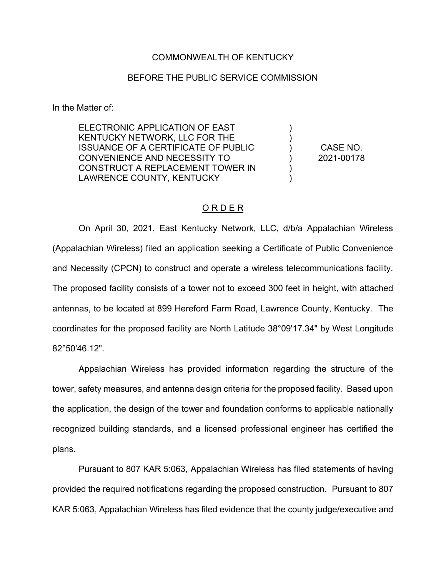## COMMONWEALTH OF KENTUCKY

## BEFORE THE PUBLIC SERVICE COMMISSION

In the Matter of:

ELECTRONIC APPLICATION OF EAST KENTUCKY NETWORK, LLC FOR THE ISSUANCE OF A CERTIFICATE OF PUBLIC CONVENIENCE AND NECESSITY TO CONSTRUCT A REPLACEMENT TOWER IN LAWRENCE COUNTY, KENTUCKY

CASE NO. 2021-00178

) ) ) ) ) )

## O R D E R

On April 30, 2021, East Kentucky Network, LLC, d/b/a Appalachian Wireless (Appalachian Wireless) filed an application seeking a Certificate of Public Convenience and Necessity (CPCN) to construct and operate a wireless telecommunications facility. The proposed facility consists of a tower not to exceed 300 feet in height, with attached antennas, to be located at 899 Hereford Farm Road, Lawrence County, Kentucky. The coordinates for the proposed facility are North Latitude 38°09'17.34" by West Longitude 82°50'46.12".

Appalachian Wireless has provided information regarding the structure of the tower, safety measures, and antenna design criteria for the proposed facility. Based upon the application, the design of the tower and foundation conforms to applicable nationally recognized building standards, and a licensed professional engineer has certified the plans.

Pursuant to 807 KAR 5:063, Appalachian Wireless has filed statements of having provided the required notifications regarding the proposed construction. Pursuant to 807 KAR 5:063, Appalachian Wireless has filed evidence that the county judge/executive and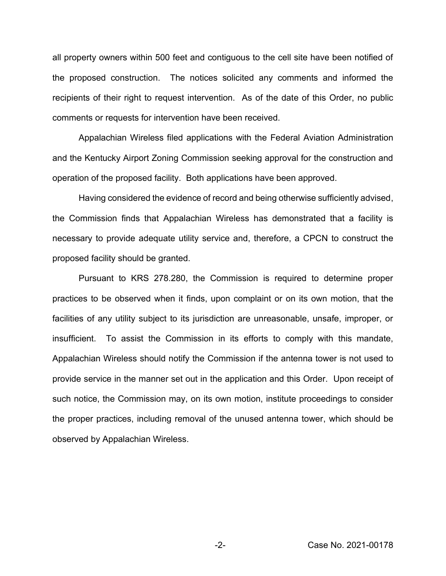all property owners within 500 feet and contiguous to the cell site have been notified of the proposed construction. The notices solicited any comments and informed the recipients of their right to request intervention. As of the date of this Order, no public comments or requests for intervention have been received.

Appalachian Wireless filed applications with the Federal Aviation Administration and the Kentucky Airport Zoning Commission seeking approval for the construction and operation of the proposed facility. Both applications have been approved.

Having considered the evidence of record and being otherwise sufficiently advised, the Commission finds that Appalachian Wireless has demonstrated that a facility is necessary to provide adequate utility service and, therefore, a CPCN to construct the proposed facility should be granted.

Pursuant to KRS 278.280, the Commission is required to determine proper practices to be observed when it finds, upon complaint or on its own motion, that the facilities of any utility subject to its jurisdiction are unreasonable, unsafe, improper, or insufficient. To assist the Commission in its efforts to comply with this mandate, Appalachian Wireless should notify the Commission if the antenna tower is not used to provide service in the manner set out in the application and this Order. Upon receipt of such notice, the Commission may, on its own motion, institute proceedings to consider the proper practices, including removal of the unused antenna tower, which should be observed by Appalachian Wireless.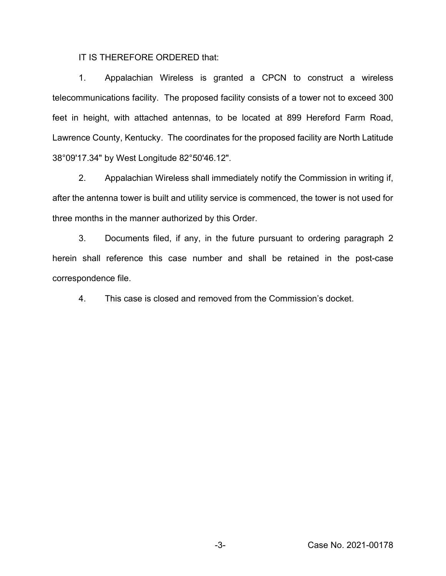IT IS THEREFORE ORDERED that:

1. Appalachian Wireless is granted a CPCN to construct a wireless telecommunications facility. The proposed facility consists of a tower not to exceed 300 feet in height, with attached antennas, to be located at 899 Hereford Farm Road, Lawrence County, Kentucky. The coordinates for the proposed facility are North Latitude 38°09'17.34" by West Longitude 82°50'46.12".

2. Appalachian Wireless shall immediately notify the Commission in writing if, after the antenna tower is built and utility service is commenced, the tower is not used for three months in the manner authorized by this Order.

3. Documents filed, if any, in the future pursuant to ordering paragraph 2 herein shall reference this case number and shall be retained in the post-case correspondence file.

4. This case is closed and removed from the Commission's docket.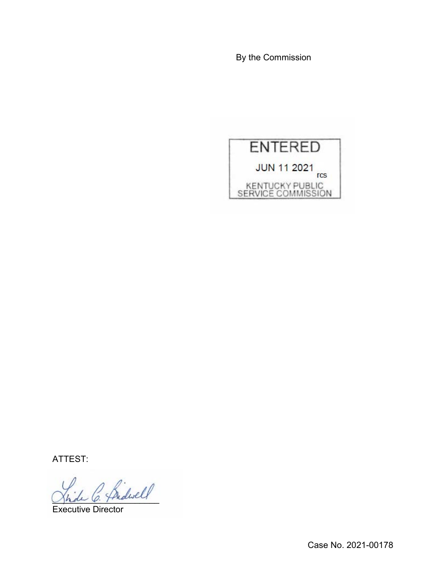By the Commission



ATTEST:

 $\sim$  friderell

Executive Director

Case No. 2021-00178